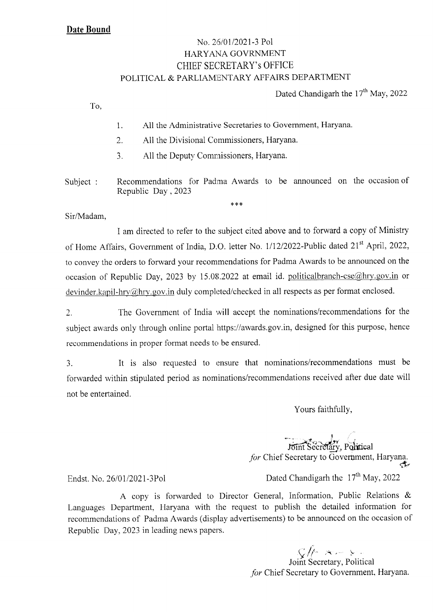### Date Bound

# No. 26/01/2021-3 Pol HARYANA GOVRNMENT CHIEF SECRETARY's OFFICE POLITICAL & PARLIAMENTARY AFFAIRS DEPARTMENT

Dated Chandigarh the  $17<sup>th</sup>$  May, 2022

To,

- All the Administrative Secretaries to Government, Haryana. 1.
- All the Divisional Commissioners, Haryana. 2.
- .All the Deputy Comrnissioners, Haryana. 3.

Subject : Recommendations for Padma Awards to be announced on the occasion of Republic Day ,2023

 $* * *$ 

Sir/Madam,

I am directed to refer to the subject cited above and to forward a copy of Ministry of Home Affairs, Government of India, D.O. letter No. 1/12/2022-Public dated 21<sup>st</sup> April, 2022, to convey the orders to forward your recommendations for Padma Awards to be announced on the occasion of Republic Day, 2023 by 15.08.2022 at email id. politicalbranch-cse $@hry.gov.in$  or devinder.kapil-hry@hry.gov.in duly completed/checked in all respects as per format enclosed.

2. The Government of India will accept the nominations/recommendations for the subject awards only through online portal https://awards.gov.in, designed for this purpose, hence recommendations in proper format needs to be ensured.

3. It is also requested to ensure that nominations/recornmendations must be forwarded within stipulated period as nominations/recommendations received after due date will not be entertained.

Yours faithfully,

Joint Secretary, Political for Chief Secretary to Government, Haryana. Dated Chandigarh the  $17<sup>th</sup>$  May, 2022

Endst. No. 26/01/2021-3Pol.

A copy is forwarded to Director General, Information, Public Relations  $\&$ Languages Department, Haryana with the request to publish the detailed information for recommendations of Padma Awards (display advertisements) to be announced on the occasion of Republic Day, 2023 in leading news papers.

> $\zeta/\!\!/$  if  $\! \to \! \to$ Joint Secretary, Political for Chief Secretary to Government, Haryana.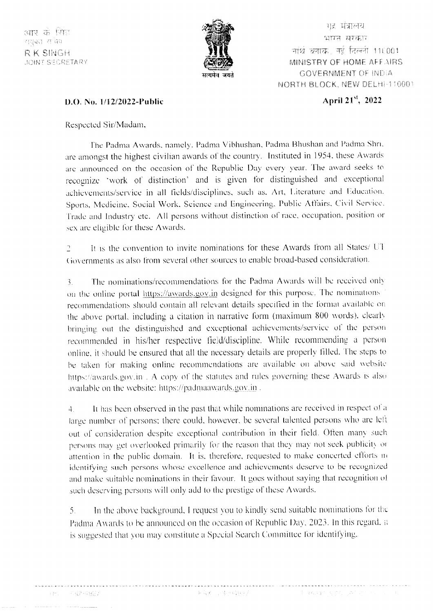

गह मंत्रालय भारत सरकार नांर्थ बताक. नई दिल्ली 110001 MINISTRY OF HOME AFFAIRS GOVERNMENT OF INDIA NORTH BLOCK. NEW DELHI-110001

### D.O. No. 1/12/2022-Public

April 21<sup>st</sup>, 2022

Respected Sir/Madam,

The Padma Awards, namely. Padma Vibhushan, Padma Bhushan and Padma Shri. are amongst the highest civilian awards of the country. Instituted in 1954, these Awards are announced on the occasion of the Republic Day every year. The award seeks to recognize 'work of distinction' and is given for distinguished and exceptional achievements/service in all fields/disciplines, such as, Art, Literature and Education. Sports, Medicine, Social Work, Science and Engineering, Public Affairs, Civil Service. Trade and Industry etc. All persons without distinction of race, occupation, position or sex are eligible for these Awards.

It is the convention to invite nominations for these Awards from all States/ UT  $\overline{2}$ Governments as also from several other sources to enable broad-based consideration.

The nominations/recommendations for the Padma Awards will be received only  $\overline{3}$ . on the online portal https://awards.gov.in designed for this purpose. The nominations recommendations should contain all relevant details specified in the format available on the above portal, including a citation in narrative form (maximum 800 words), clearly bringing out the distinguished and exceptional achievements/service of the person recommended in his/her respective field/discipline. While recommending a person online, it should be ensured that all the necessary details are properly filled. The steps to be taken for making online recommendations are available on above said website https://awards.gov.in. A copy of the statutes and rules governing these Awards is also available on the website: https://padmaawards.gov.in.

It has been observed in the past that while nominations are received in respect of a  $4.$ large number of persons; there could, however, be several talented persons who are left out of consideration despite exceptional contribution in their field. Often many such persons may get overlooked primarily for the reason that they may not seek publicity or attention in the public domain. It is, therefore, requested to make concerted efforts in identifying such persons whose excellence and achievements deserve to be recognized and make suitable nominations in their favour. It goes without saying that recognition of such deserving persons will only add to the prestige of these Awards.

In the above background, I request you to kindly send suitable nominations for the  $5.$ Padma Awards to be announced on the occasion of Republic Day, 2023. In this regard, a is suggested that you may constitute a Special Search Committee for identifying,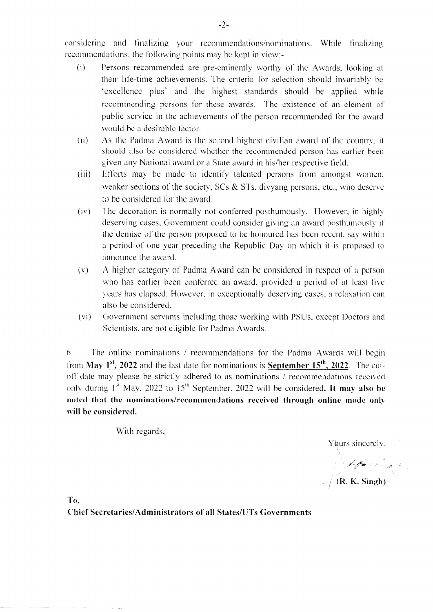considering and finalizing your recommendations/nominations. While finalizing recommendations, the following points may be kept in view:-

- $(i)$ Persons recommended are pre-eminently worthy of the Awards, looking at their life-time achievements. The criteria for selection should invariably be 'excellence plus' and the highest standards should be applied while recommending persons for these awards. The existence of an element of public service in the achievements of the person recommended for the award would be a desirable factor.
- $(ii)$ As the Padma Award is the second highest civilian award of the country, it should also be considered whether the recommended person has earlier been given any National award or a State award in his/her respective field.
- $(iii)$ Efforts may be made to identify talented persons from amongst women. weaker sections of the society,  $SCs \& STs$ , divyang persons, etc., who deserve to be considered for the award.
- The decoration is normally not conferred posthumously. However, in highly  $(iv)$ deserving cases, Government could consider giving an award posthumously if the demise of the person proposed to be honoured has been recent, say within a period of one year preceding the Republic Day on which it is proposed to announce the award.
- $(V)$ A higher category of Padma Award can be considered in respect of a person who has earlier been conferred an award, provided a period of at least five years has elapsed. However, in exceptionally deserving cases, a relaxation can also be considered.
- $(v_i)$ Government servants including those working with PSUs, except Doctors and Scientists, are not eligible for Padma Awards.

6. The online nominations / recommendations for the Padma Awards will begin from May  $1^{st}$ , 2022 and the last date for nominations is **September 15<sup>th</sup>**, 2022. The cutoff date may please be strictly adhered to as nominations / recommendations received only during  $1^{st}$  May, 2022 to  $15^{th}$  September, 2022 will be considered. It may also be noted that the nominations/recommendations received through online mode only will be considered.

With regards,

Yours sincerely.

 $\sqrt{\frac{1}{(R. K. Singh)}}$ 

T<sub>0</sub>. **Chief Secretaries/Administrators of all States/UTs Governments**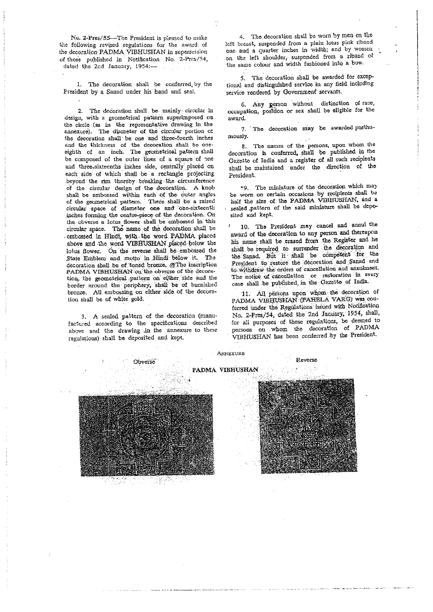Nu. 2-Pres/55-The President is pleased to make the following revised regulations for the award of the decoration PADMA VIBHUSHAN in supersession of those published in Notification No. 2-Pres/54, dated the 2nd January, 1954 :--

1. The decoration shall be conferred by the President by a Sanad under his hand and seal.

2. The decoration shall be mainly circular in design, with a geometrical pattern superimposed on the circle (as in the representative drawing in the annexure). The diameter of the circular portion of the decoration shall be one and three-fourth inches and the thickness of the decoration shall be oneeighth of an inch. The geometrical pattern shall be composed of the outer lines of a square of one and three-sixteenths inches side, centrally placed on each side of which shall be a rectangle projecting beyond the rim thereby breaking the circumference of the circular design of the decoration. A knob shall be embossed within each of the outer angles of the geometrical pattern. There shall be a raised circular space of diameter one and one-sixteenth inches forming the centre-piece of the decoration. On the obverse a lotus flower shall be embossed in this circular space. The name of the decoration shall be embossed in Hindi, with the word PADMA placed above and the word VIBHUSHAN placed below the lotus flower. On the reverse shall be embossed the State Emblem and motto in Hindi below it. The decoration shall be of toned bronze. @The inscription PADMA VIBHUSHAN on the obverse of the decorution, the geometrical pattern on either side and the border around the periphery, shall be of burnished bronze. All embossing on either side of the decoration shall be of white gold.

3. A sealed pattern of the decoration (manufactured according to the specifications described above and the drawing in the annexure to these regulations) shall be deposited and kept.

4. The decoration shall be worn by men on the left breast, suspended from a plain lotus pink riband one and a quarter inches in width; and by women on the left shoulder, suspended from a riband of the same colour and width fashioned into a bow.

5. The decoration shall be awarded for exceptional and distinguished service in any field including service rendered by Government' servants.

6. Any person without distinction of race, occupation, position or sex shall be cligible for the award.

7. The decoration may be awarded posthumously.

8. The names of the persons, upon whom the decoration is conferred, shall be published in the Gazette of India and a register of all such recipients shall be maintained under the direction of the President.

\*9. The miniature of the decoration which may be worn on certain occasions by recipients shall be half the size of the PADMA VIBHUSHAN, and a sealed pattern of the said miniature shall be deposited and kept.

10. The President may cancel and annul the award of the decoration to any person and thereupon his name shall be crased from the Register and he shall be required to surrender the decoration and the Sanad. But it shall be competent for the President to restore the decoration and Sanad and to withdraw the orders of cancellation and annulment. The notice of cancellation or restoration in every case shall be published, in the Gazette of India.

All persons upon whom the decoration of  $111^\circ$ PADMA VIBHUSHAN (PAHELA VARG) was couferred under the Regulations issued with Notification No. 2-Pres/54, dated the 2nd January, 1954, shall, for all purposes of these regulations, be deemed to persons on whom the decoration of PADMA VIBHUSHAN has been conferred by the President.

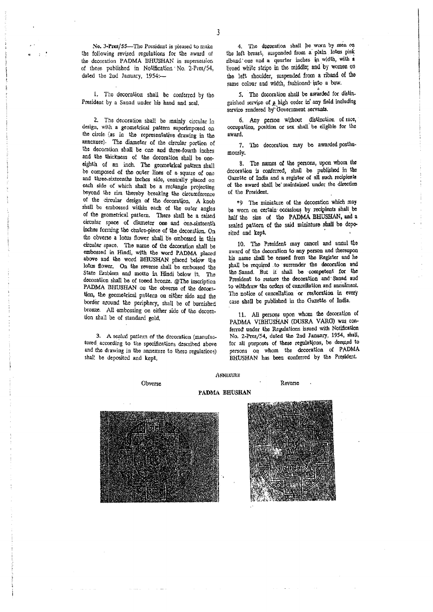No. 3-Pres/55-The President is pleased to make the following revised regulations for the award of the decoration PADMA BHUSHAN in supersession of those published in Notification No. 2-Pres/54, dated the 2nd January, 1954:-

1. The decoration shall be conferred by the President by a Sanad under his hand and seal.

2. The decoration shall be mainly circular in design, with a geometrical pattern superimposed on the circle (as in the representative drawing in the annexure). The diameter of the circular portion of the decoration shall be one and three-fourth inches and the thickness of the decoration shall be oneeighth of an inch. The geometrical pattern shall be composed of the outer lines of a square of one and three-sixteenths inches side, centrally placed on each side of which shall be a rectangle projecting beyond the rim thereby breaking the circumference of the circular design of the decoration. A knob shall be embossed within each of the outer angles of the geometrical pattern. There shall be a raised circular space of diameter one and one-sixteenth inches forming the centre-piece of the decoration. On the obverse a lotus flower shall be embossed in this circular space. The name of the decoration shall be embossed in Hindi, with the word PADMA placed above and the word BHUSHAN placed below the lotus flower. On the reverse shall be embossed the State Erablem and motto in Hindi below it. The decoration shall be of toned bronze. @The inscription PADMA BHUSHAN on the obverse of the decoration, the geometrical pattern on either side and the border around the periphery, shall be of burnished bronze. All embossing on either side of the decoration shall be of standard gold.

3. A sealed pattern of the decoration (manufactured according to the specifications described above and the drawing in the annexure to these regulations) shal! be deposited and kept.

4. The degoration shall be worn by men on the left breast, suspended from a plain lotus pink riband one and a quarter inches in width, with a broad white stripe in the middle; and by women on the left shoulder, suspended from a riband of the same colour and width, fashioned into a bow.

5. The decoration shall be awarded for distinguished service of a high order in any field including service rendered by Government servants.

6. Any person without distinction of race, occupation, position or sex shall be eligible for the award.

7. The decoration may be awarded posthumously.

8. The names of the persons, upon whom the decoration is conferred, shall be published in the Gazette of India and a register of all such recipients of the award shall be maintained under the direction of the President.

\*9 The miniature of the decoration which may be worn on certain occasions by recipients shall be half the size of the PADMA BHUSHAN, and a scaled pattern of the said miniature shall be deposited and kept.

10. The President may cancel and annul the award of the decoration to any person and thereupon his name shall be erased from the Register and he shall be required to surrender the decoration and the Sanad. But it shall be competent for the President to restore the decoration and Sanad and to withdraw the orders of cancellation and annulment. The notice of cancellation or restoration in every case shall be published in the Gazette of India.

11. All persons upon whom the decoration of PADMA VIBHUSHAN (DUSRA VARG) was conferred under the Regulations issued with Notification No. 2-Pres/54, dated the 2nd January, 1954, shall, for all purposes of these regulations, be deemed to persons on whom the decoration of PADMA BHUSHAN has been conferred by the President.



#### 3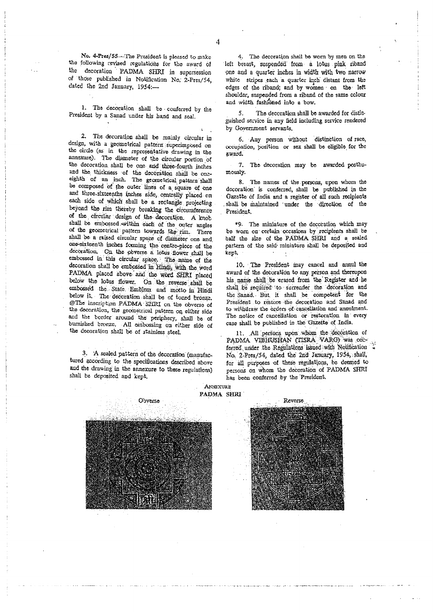No. 4-Pres/55-The President is pleased to make the following revised regulations for the award of the decoration PADMA SHRI in supersession of those published in Notification No. 2-Pres/54, dated the 2nd January, 1954:-

1. The decoration shall be conferred by the President by a Sanad under his hand and seal.

2. The decoration shall be mainly circular in design, with a geometrical pattern superimposed on the circle (as in the representative drawing in the annexure). The diameter of the circular portion of the decoration shall be one and three-fourth inches and the thickness of the decoration shall be one-<br>eighth of an inch. The geometrical pattern shall be composed of the outer lines of a square of one and three-sixteenths inches side, centrally placed on each side of which shall be a rectangle projecting beyond the rim thereby breaking the circumference of the circular design of the decoration. A knot shall be embossed within each of the outer angles of the geometrical pattern towards the rim. There shall be a raised circular space of diameter one and one-sixteenth inches forming the centre-piece of the decoration. On the obverse a lotus flower shall be embossed in this circular space. The name of the decoration shall be embossed in Hindi, with the word PADMA placed above and the word SHRI placed below the lotus flower. On the reverse shall be embossed the State Emblem and motto in Hindi below it. The decoration shall be of toned bronze. @The inscription PADMA SHRI on the obverse of the decoration, the geometrical pattern on either side and the border around the periphery, shall be of burnished bronze. All embossing on either side of the decoration shall be of stainless steel.

3. A sealed pattern of the decoration (manufactured according to the specifications described above and the drawing in the annexure to these regulations) shall be deposited and kept.

4. The decoration shall be worn by men on the left breast, suspended from a lotus pink riband one and a quarter inches in width with two narrow white stripes each a quarter inch distant from the edges of the riband; and by women on the left shoulder, suspended from a riband of the same colour and width fashioned into a bow.

 $\mathbf{S}$ The decoration shall be awarded for distinguished service in any field including service rendered by Government servants.

6. Any person without distinction of race, occupation, position or sex shall be eligible for the award.

7. The decoration may be awarded posthumously.

8. The names of the persons, upon whom the decoration is conferred, shall be published in the Gazette of India and a register of all such recipients shall be maintained 'under the direction of the President.

\*9. The miniature of the decoration which may be worn on certain occasions by recipients shall be half the size of the PADMA SHRI and a sealed pattern of the said miniature shall be deposited and kept,

10. The President may cancel and annul the award of the decoration to any person and thereupon his name shall be erased from the Register and he shall be required to surrender the decoration and the Sanad. But it shall be competent for the President to restore the decoration and Sanad and to withdraw the orders of cancellation and annulment. The notice of cancellation or restoration in every case shall be published in the Gazette of India.

11. All persons upon whom the decoration of PADMA VIBHUSHAN (TISRA VARG) was colferred under the Regulations issued with Notification No. 2-Pres/54, dated the 2nd January, 1954, shall, for all purposes of these regulations, be deemed to persons on whom the decoration of PADMA SHRI has been conferred by the President.

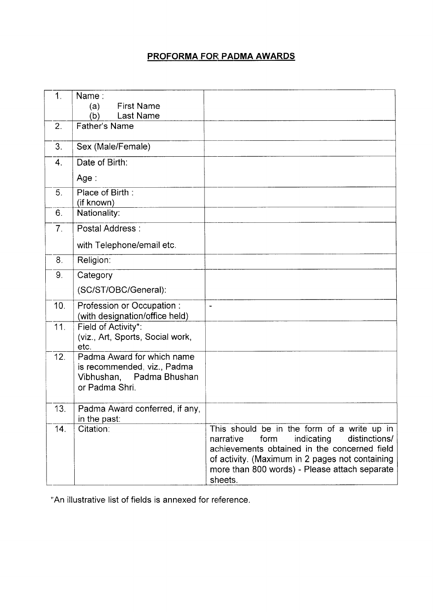# PROFORMA FOR PADMA AWARDS

| 1.               | Name:                                                                                                      |                                                                                                                                                                                                                                                                |
|------------------|------------------------------------------------------------------------------------------------------------|----------------------------------------------------------------------------------------------------------------------------------------------------------------------------------------------------------------------------------------------------------------|
|                  | <b>First Name</b><br>(a)                                                                                   |                                                                                                                                                                                                                                                                |
|                  | Last Name<br>(b)                                                                                           |                                                                                                                                                                                                                                                                |
| $\overline{2}$ . | <b>Father's Name</b>                                                                                       |                                                                                                                                                                                                                                                                |
|                  |                                                                                                            |                                                                                                                                                                                                                                                                |
| 3.               | Sex (Male/Female)                                                                                          |                                                                                                                                                                                                                                                                |
| 4.               | Date of Birth:                                                                                             |                                                                                                                                                                                                                                                                |
|                  | Age :                                                                                                      |                                                                                                                                                                                                                                                                |
| 5.               | Place of Birth:                                                                                            |                                                                                                                                                                                                                                                                |
|                  | (if known)                                                                                                 |                                                                                                                                                                                                                                                                |
| 6.               | Nationality:                                                                                               |                                                                                                                                                                                                                                                                |
| 7.               | Postal Address:                                                                                            |                                                                                                                                                                                                                                                                |
|                  | with Telephone/email etc.                                                                                  |                                                                                                                                                                                                                                                                |
| 8.               | Religion:                                                                                                  |                                                                                                                                                                                                                                                                |
| 9.               | Category                                                                                                   |                                                                                                                                                                                                                                                                |
|                  | (SC/ST/OBC/General):                                                                                       |                                                                                                                                                                                                                                                                |
| 10.              | Profession or Occupation:<br>(with designation/office held)                                                | $\ddot{\phantom{a}}$                                                                                                                                                                                                                                           |
| 11.              | Field of Activity*:<br>(viz., Art, Sports, Social work,<br>etc.                                            |                                                                                                                                                                                                                                                                |
| 12.              | Padma Award for which name<br>is recommended, viz., Padma<br>Padma Bhushan<br>Vibhushan,<br>or Padma Shri. |                                                                                                                                                                                                                                                                |
| 13.              | Padma Award conferred, if any,<br>in the past:                                                             |                                                                                                                                                                                                                                                                |
| 14.              | Citation:                                                                                                  | This should be in the form of a write up in<br>distinctions/<br>narrative<br>form<br>indicating<br>achievements obtained in the concerned field<br>of activity. (Maximum in 2 pages not containing<br>more than 800 words) - Please attach separate<br>sheets. |

\*An illustrative list of fields is annexed for reference.